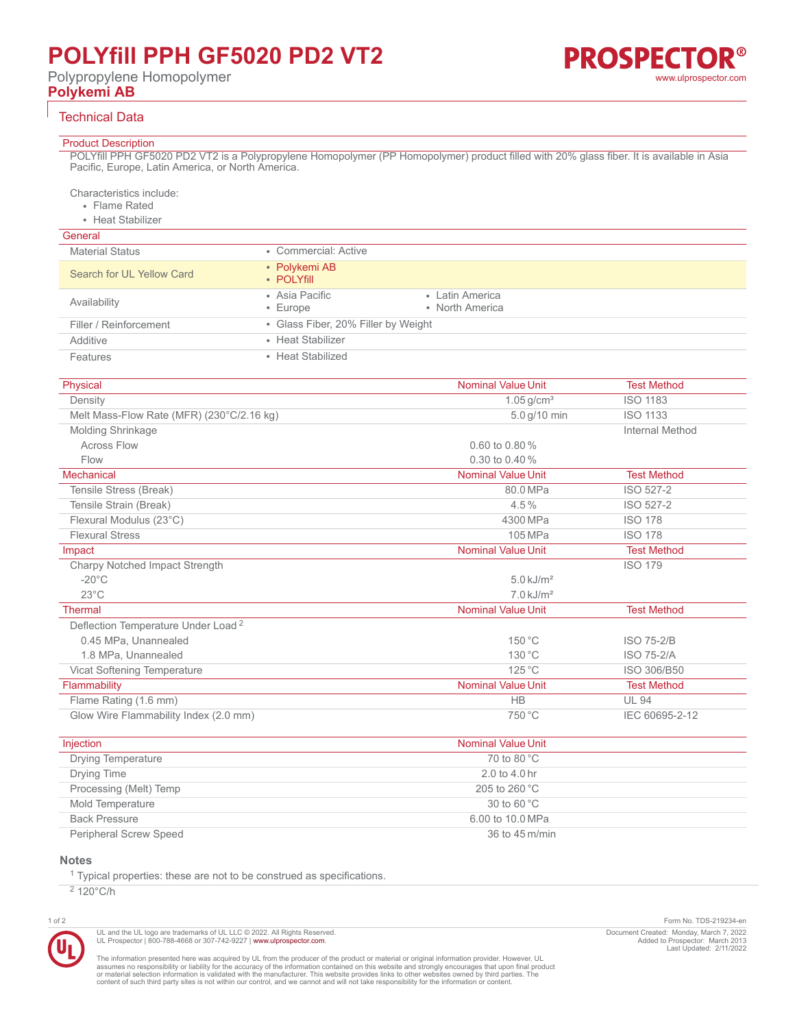# **POLYfill PPH GF5020 PD2 VT2**

Polypropylene Homopolymer **Polykemi AB**

# **PROSPECTOR®** [www.ulprospector.com](http://www.ulprospector.com)

### Technical Data

#### Product Description

POLYfill PPH GF5020 PD2 VT2 is a Polypropylene Homopolymer (PP Homopolymer) product filled with 20% glass fiber. It is available in Asia Pacific, Europe, Latin America, or North America.

Characteristics include:

• Flame Rated

• Heat Stabilizer

# General

| <b>Material Status</b>    | • Commercial: Active                |                                    |
|---------------------------|-------------------------------------|------------------------------------|
| Search for UL Yellow Card | • Polykemi AB<br>• POLYfill         |                                    |
| Availability              | • Asia Pacific<br>$\cdot$ Europe    | • Latin America<br>• North America |
| Filler / Reinforcement    | • Glass Fiber, 20% Filler by Weight |                                    |
| Additive                  | • Heat Stabilizer                   |                                    |
| <b>Features</b>           | • Heat Stabilized                   |                                    |

| Physical                                       | <b>Nominal Value Unit</b> | <b>Test Method</b>     |
|------------------------------------------------|---------------------------|------------------------|
| Density                                        | $1.05$ g/cm <sup>3</sup>  | <b>ISO 1183</b>        |
| Melt Mass-Flow Rate (MFR) (230°C/2.16 kg)      | 5.0 g/10 min              | <b>ISO 1133</b>        |
| <b>Molding Shrinkage</b>                       |                           | <b>Internal Method</b> |
| <b>Across Flow</b>                             | $0.60$ to $0.80\%$        |                        |
| Flow                                           | 0.30 to 0.40 %            |                        |
| Mechanical                                     | <b>Nominal Value Unit</b> | <b>Test Method</b>     |
| Tensile Stress (Break)                         | 80.0 MPa                  | ISO 527-2              |
| Tensile Strain (Break)                         | $4.5\%$                   | ISO 527-2              |
| Flexural Modulus (23°C)                        | 4300 MPa                  | <b>ISO 178</b>         |
| <b>Flexural Stress</b>                         | 105 MPa                   | <b>ISO 178</b>         |
| Impact                                         | <b>Nominal Value Unit</b> | <b>Test Method</b>     |
| Charpy Notched Impact Strength                 |                           | <b>ISO 179</b>         |
| $-20^{\circ}$ C                                | $5.0 \text{ kJ/m}^2$      |                        |
| $23^{\circ}$ C                                 | $7.0 \text{ kJ/m}^2$      |                        |
| Thermal                                        | <b>Nominal Value Unit</b> | <b>Test Method</b>     |
| Deflection Temperature Under Load <sup>2</sup> |                           |                        |
| 0.45 MPa, Unannealed                           | 150 °C                    | <b>ISO 75-2/B</b>      |
| 1.8 MPa, Unannealed                            | 130 °C                    | <b>ISO 75-2/A</b>      |
| Vicat Softening Temperature                    | $125^{\circ}$ C           | ISO 306/B50            |
| Flammability                                   | <b>Nominal Value Unit</b> | <b>Test Method</b>     |
| Flame Rating (1.6 mm)                          | <b>HB</b>                 | <b>UL 94</b>           |
| Glow Wire Flammability Index (2.0 mm)          | 750 °C                    | IEC 60695-2-12         |

| Injection                 | <b>Nominal Value Unit</b>        |
|---------------------------|----------------------------------|
| <b>Drying Temperature</b> | 70 to 80 $^{\circ}$ C            |
| Drying Time               | $2.0 \text{ to } 4.0 \text{ hr}$ |
| Processing (Melt) Temp    | 205 to 260 $^{\circ}$ C          |
| Mold Temperature          | 30 to 60 $^{\circ}$ C            |
| <b>Back Pressure</b>      | 6.00 to 10.0 MPa                 |
| Peripheral Screw Speed    | 36 to 45 m/min                   |

# **Notes**

<sup>1</sup> Typical properties: these are not to be construed as specifications.

 $2$  120 $\degree$ C/h



UL and the UL logo are trademarks of UL LLC © 2022. All Rights Reserved. UL Prospector | 800-788-4668 or 307-742-9227 | [www.ulprospector.com](http://www.ulprospector.com).

The information presented here was acquired by UL from the producer of the product or material or original information provider. However, UL<br>assumes no responsibility or liability for the accuracy of the information contai